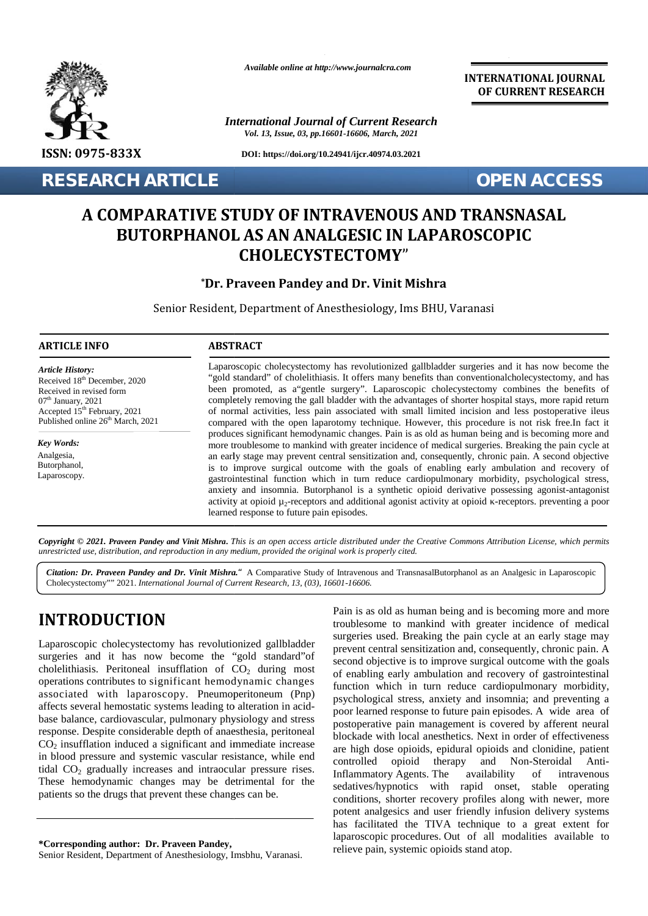

*Available online at http://www.journalcra.com*

*International Journal of Current Research Vol. 13, Issue, 03, pp.16601-16606, March, 2021*

**DOI: https://doi.org/10.24941/ijcr.40974.03.2021**

**RESEARCH ARTICLE OPEN ACCESS**

**INTERNATIONAL JOURNAL OF CURRENT RESEARCH**

# **A COMPARATIVE STUDY OF INTRAVENOUS AND TRANSNASAL OF INTRAVENOUS BUTORPHANOL AS AN ANALGESIC IN LAPAROSCOPIC CHOLECYSTECTOMY**" **AS CHOLECYSTECTOMY**"

# **\*Dr. Praveen Pandey and Dr. Vinit Mishra Pandey and**

Senior Resident, Department of Anesthesiology, Ims BHU, Varanasi

#### **ARTICLE INFO ABSTRACT ARTICLE ABSTRACT**

*Article History: Article History:* Received  $18<sup>th</sup>$  December, 2020 Received 18<sup>--</sup> December, 2020<br>Received in revised form  $07<sup>th</sup>$  January, 2021 Received in revised form<br>  $07<sup>th</sup>$  January, 2021<br>
Accepted 15<sup>th</sup> February, 2021 Published online  $26<sup>th</sup>$  March, 2021

*Key Words: Key Words:* Analgesia, Butorphanol,

Laparoscopy.

Laparoscopic cholecystectomy has revolutionized gallbladder surgeries and it has now become the Laparoscopic the"gold standard" of cholelithiasis. It offers many benefits than conventionalcholecystectomy, and has been promoted, as a gentle surgery". Laparoscopic cholecystectomy combines the benefits of completely removing the gall bladder with the advantages of shorter hospital stays, more rapid return of normal activities, less pain associated with small limited incision and less postoperative ileus compared with the open laparotomy technique. However, this procedure is not risk free.In fact it produces significant hemodynamic changes. Pain is as old as human being and is becoming more and more troublesome to mankind with greater incidence of medical surgeries. Breaking the pain cycle at an early stage may prevent central sensitization and, consequently, chronic pain. A second objective is to improve surgical outcome with the goals of enabling early ambulation and recovery of gastrointestinal function which in turn reduce cardiopulmonary morbidity, psychological stress, anxiety and insomnia. Butorphanol is a synthetic opioid derivative possessing agonist-antagonist activity at opioid  $\mu_2$ -receptors and additional agonist activity at opioid -receptors. preventing a poor learned response to future pain episodes. learned of normal activities, less pain associated with small limited incision and less postoperative ile<br>compared with the open laparotomy technique. However, this procedure is not risk free.In fact<br>produces significant hemodyna

Copyright © 2021. Praveen Pandey and Vinit Mishra. This is an open access article distributed under the Creative Commons Attribution License, which permits unrestricted use, distribution, and reproduction in any medium, provided the original work is properly cited.

Citation: Dr. Praveen Pandey and Dr. Vinit Mishra. " A Comparative Study of Intravenous and TransnasalButorphanol as an Analgesic in Laparoscopic Cholecystectomy"" 2021. *International Journal of Current Research, 13, (03), 16601-16606*.

# **INTRODUCTION INTRODUCTION**

Laparoscopic cholecystectomy has revolutionized gallbladder surgeries and it has now become the "gold standard" of  $\frac{P}{S}$ cholelithiasis. Peritoneal insufflation of  $CO<sub>2</sub>$  during most operations contributes to significant hemodynamic changes associated with laparoscopy. Pneumoperitoneum (Pnp) affects several hemostatic systems leading to alteration in acid base balance, cardiovascular, pulmonary physiology and stress response. Despite considerable depth of anaesthesia, peritoneal  $CO<sub>2</sub>$  insufflation induced a significant and immediate increase in blood pressure and systemic vascular resistance, while end<br>controlled tidal  $CO<sub>2</sub>$  gradually increases and intraocular pressure rises. These hemodynamic changes may be detrimental for the patients so the drugs that prevent these changes can be. cholelithiasis. Peritoneal insufflation of  $CO_2$  during most<br>operations contributes to significant hemodynamic changes<br>associated with laparoscopy. Pneumoperitoneum (Pnp)<br>affects several hemostatic systems leading to alte

Pain is as old as human being and is becoming more and more Pain is as old as human being and is becoming more and more troublesome to mankind with greater incidence of medical surgeries used. Breaking the pain cycle at an early stage may prevent central sensitization and, consequently, chronic pain. A second objective is to improve surgical outcome with the goals of enabling early ambulation and recovery of gastrointestinal function which in turn reduce cardiopulmonary morbidity, psychological stress, anxiety and insomnia; and preventing a poor learned response to future pain episodes. A wide area of postoperative pain management is covered by afferent neural blockade with local anesthetics. Next in order of effectiveness are high dose opioids, epidural opioids and clonidine, patient opioid therapy and Non-Steroidal Anti-Inflammatory Agents. The availability of intravenous sedatives/hypnotics with rapid onset, stable operating conditions, shorter recovery profiles along with newer, more potent analgesics and user friendly infusion delivery systems has facilitated the TIVA technique to a great extent for laparoscopic procedures. Out of all modalities available to relieve pain, systemic opioids stand atop. Every the Senior of the Senior Senior Contents and the early state of the early recovered with the early recovered with the early recovered with the early and the early state of the early recovered with the early recovered

**<sup>\*</sup>Corresponding author: Dr. Praveen Pandey, \*Corresponding** 

Senior Resident, Department of Anesthesiology, Imsbhu, Varanasi.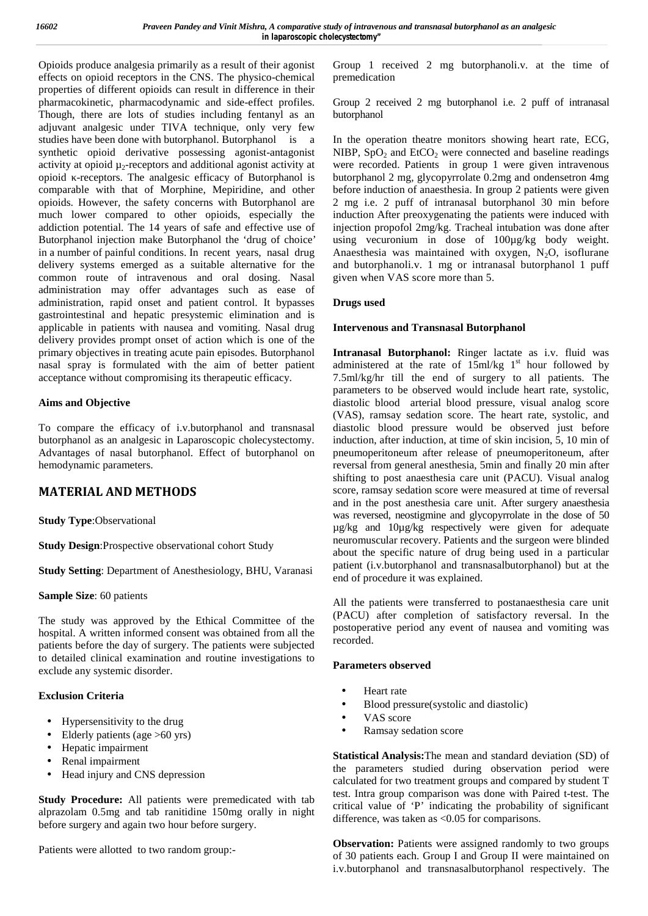Opioids produce analgesia primarily as a result of their agonist effects on opioid receptors in the CNS. The physico-chemical properties of different opioids can result in difference in their pharmacokinetic, pharmacodynamic and side-effect profiles. Though, there are lots of studies including fentanyl as an adjuvant analgesic under TIVA technique, only very few studies have been done with butorphanol. Butorphanol is a synthetic opioid derivative possessing agonist-antagonist activity at opioid µ2-receptors and additional agonist activity at opioid -receptors. The analgesic efficacy of Butorphanol is comparable with that of Morphine, Mepiridine, and other opioids. However, the safety concerns with Butorphanol are much lower compared to other opioids, especially the addiction potential. The 14 years of safe and effective use of Butorphanol injection make Butorphanol the 'drug of choice' in a number of painful conditions. In recent years, nasal drug delivery systems emerged as a suitable alternative for the common route of intravenous and oral dosing. Nasal administration may offer advantages such as ease of administration, rapid onset and patient control. It bypasses gastrointestinal and hepatic presystemic elimination and is applicable in patients with nausea and vomiting. Nasal drug delivery provides prompt onset of action which is one of the primary objectives in treating acute pain episodes. Butorphanol nasal spray is formulated with the aim of better patient acceptance without compromising its therapeutic efficacy.

# **Aims and Objective**

To compare the efficacy of i.v.butorphanol and transnasal butorphanol as an analgesic in Laparoscopic cholecystectomy. Advantages of nasal butorphanol. Effect of butorphanol on hemodynamic parameters.

# **MATERIAL AND METHODS**

**Study Type**:Observational

**Study Design**:Prospective observational cohort Study

**Study Setting**: Department of Anesthesiology, BHU, Varanasi

# **Sample Size**: 60 patients

The study was approved by the Ethical Committee of the hospital. A written informed consent was obtained from all the patients before the day of surgery. The patients were subjected to detailed clinical examination and routine investigations to exclude any systemic disorder.

# **Exclusion Criteria**

- Hypersensitivity to the drug
- Elderly patients (age >60 yrs)
- Hepatic impairment
- Renal impairment
- Head injury and CNS depression

**Study Procedure:** All patients were premedicated with tab alprazolam 0.5mg and tab ranitidine 150mg orally in night before surgery and again two hour before surgery.

Patients were allotted to two random group:-

Group 1 received 2 mg butorphanoli.v. at the time of premedication

Group 2 received 2 mg butorphanol i.e. 2 puff of intranasal butorphanol

In the operation theatre monitors showing heart rate, ECG, NIBP,  $SpO<sub>2</sub>$  and EtCO<sub>2</sub> were connected and baseline readings were recorded. Patients in group 1 were given intravenous butorphanol 2 mg, glycopyrrolate 0.2mg and ondensetron 4mg before induction of anaesthesia. In group 2 patients were given 2 mg i.e. 2 puff of intranasal butorphanol 30 min before induction After preoxygenating the patients were induced with injection propofol 2mg/kg. Tracheal intubation was done after using vecuronium in dose of 100µg/kg body weight. Anaesthesia was maintained with oxygen,  $N_2O$ , isoflurane and butorphanoli.v. 1 mg or intranasal butorphanol 1 puff given when VAS score more than 5.

# **Drugs used**

# **Intervenous and Transnasal Butorphanol**

**Intranasal Butorphanol:** Ringer lactate as i.v. fluid was administered at the rate of  $15$ ml/kg  $1<sup>st</sup>$  hour followed by 7.5ml/kg/hr till the end of surgery to all patients. The parameters to be observed would include heart rate, systolic, diastolic blood arterial blood pressure, visual analog score (VAS), ramsay sedation score. The heart rate, systolic, and diastolic blood pressure would be observed just before induction, after induction, at time of skin incision, 5, 10 min of pneumoperitoneum after release of pneumoperitoneum, after reversal from general anesthesia, 5min and finally 20 min after shifting to post anaesthesia care unit (PACU). Visual analog score, ramsay sedation score were measured at time of reversal and in the post anesthesia care unit. After surgery anaesthesia was reversed, neostigmine and glycopyrrolate in the dose of 50 µg/kg and 10µg/kg respectively were given for adequate neuromuscular recovery. Patients and the surgeon were blinded about the specific nature of drug being used in a particular patient (i.v.butorphanol and transnasalbutorphanol) but at the end of procedure it was explained.

All the patients were transferred to postanaesthesia care unit (PACU) after completion of satisfactory reversal. In the postoperative period any event of nausea and vomiting was recorded.

# **Parameters observed**

- Heart rate
- Blood pressure(systolic and diastolic)
- VAS score
- Ramsay sedation score

**Statistical Analysis:**The mean and standard deviation (SD) of the parameters studied during observation period were calculated for two treatment groups and compared by student T test. Intra group comparison was done with Paired t-test. The critical value of 'P' indicating the probability of significant difference, was taken as <0.05 for comparisons.

**Observation:** Patients were assigned randomly to two groups of 30 patients each. Group I and Group II were maintained on i.v.butorphanol and transnasalbutorphanol respectively. The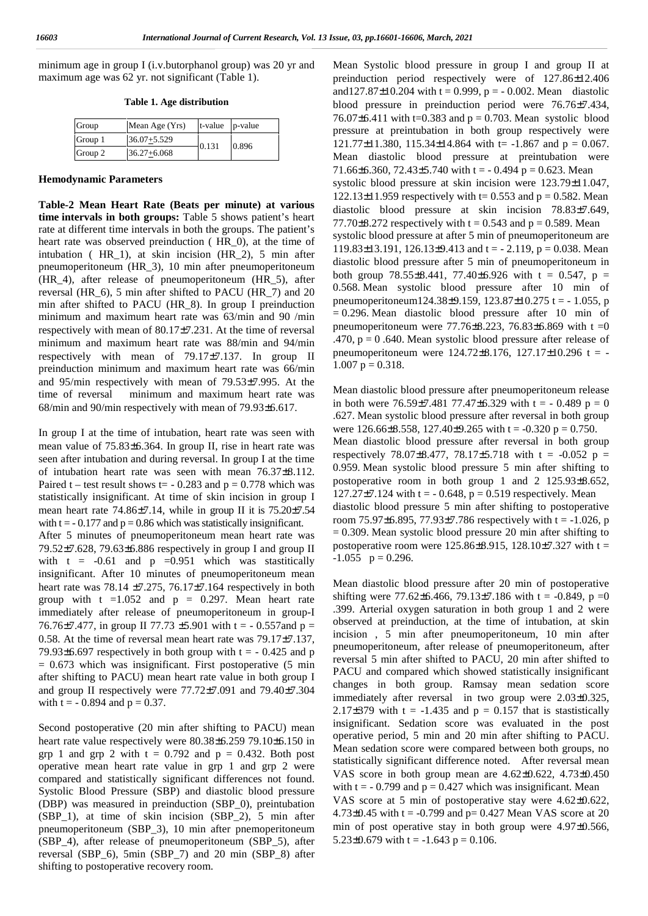minimum age in group I (i.v.butorphanol group) was 20 yr and maximum age was 62 yr. not significant (Table 1).

**Table 1. Age distribution**

| Group   | Mean Age (Yrs)  | $t$ -value $p$ -value |       |  |
|---------|-----------------|-----------------------|-------|--|
| Group 1 | $36.07 + 5.529$ | 0.131                 | 0.896 |  |
| Group 2 | $36.27 + 6.068$ |                       |       |  |

#### **Hemodynamic Parameters**

**Table-2 Mean Heart Rate (Beats per minute) at various time intervals in both groups:** Table 5 shows patient's heart rate at different time intervals in both the groups. The patient's heart rate was observed preinduction ( HR\_0), at the time of intubation ( HR\_1), at skin incision (HR\_2), 5 min after pneumoperitoneum (HR\_3), 10 min after pneumoperitoneum (HR\_4), after release of pneumoperitoneum (HR\_5), after reversal (HR\_6), 5 min after shifted to PACU (HR\_7) and 20 min after shifted to PACU (HR\_8). In group I preinduction minimum and maximum heart rate was 63/min and 90 /min respectively with mean of  $80.17\frac{1}{2}7.231$ . At the time of reversal minimum and maximum heart rate was 88/min and 94/min respectively with mean of  $79.17\frac{137}{137}$ . In group II preinduction minimum and maximum heart rate was 66/min and 95/min respectively with mean of  $79.53\overline{)7.995}$ . At the time of reversal minimum and maximum heart rate was 68/min and 90/min respectively with mean of  $79.93\frac{1}{6.617}$ .

In group I at the time of intubation, heart rate was seen with mean value of  $75.83\frac{1}{6.364}$ . In group II, rise in heart rate was seen after intubation and during reversal. In group I at the time of intubation heart rate was seen with mean  $76.37\frac{8.112}{8.112}$ . Paired t – test result shows t=  $-0.283$  and  $p = 0.778$  which was statistically insignificant. At time of skin incision in group I mean heart rate  $74.86\frac{1}{7}$ .14, while in group II it is  $75.20\frac{1}{7}$ .54 with  $t = -0.177$  and  $p = 0.86$  which was statistically insignificant. After 5 minutes of pneumoperitoneum mean heart rate was 79.52 $\{7.628, 79.63\}$  6.886 respectively in group I and group II with t =  $-0.61$  and p =0.951 which was stastitically insignificant. After 10 minutes of pneumoperitoneum mean heart rate was 78.14  $\{7.275, 76.17\}$  7.164 respectively in both group with  $t = 1.052$  and  $p = 0.297$ . Mean heart rate immediately after release of pneumoperitoneum in group-I 76.76 $\{7.477\}$ , in group II 77.73  $\{5.901\}$  with t = -0.557 and p = 0.58. At the time of reversal mean heart rate was  $79.17\frac{27}{37}$ , 79.93 6.697 respectively in both group with  $t = -0.425$  and p  $= 0.673$  which was insignificant. First postoperative (5 min after shifting to PACU) mean heart rate value in both group I and group II respectively were  $77.72\over{1}$ , 091 and  $79.40\over{1}$ , 7.304 with  $t = -0.894$  and  $p = 0.37$ .

Second postoperative (20 min after shifting to PACU) mean heart rate value respectively were  $80.38\frac{1}{6.259}$  79.10 $\frac{1}{6.150}$  in grp 1 and grp 2 with  $t = 0.792$  and  $p = 0.432$ . Both post operative mean heart rate value in grp 1 and grp 2 were compared and statistically significant differences not found. Systolic Blood Pressure (SBP) and diastolic blood pressure (DBP) was measured in preinduction (SBP\_0), preintubation (SBP\_1), at time of skin incision (SBP\_2), 5 min after pneumoperitoneum (SBP\_3), 10 min after pnemoperitoneum (SBP\_4), after release of pneumoperitoneum (SBP\_5), after reversal (SBP\_6), 5min (SBP\_7) and 20 min (SBP\_8) after shifting to postoperative recovery room.

Mean Systolic blood pressure in group I and group II at preinduction period respectively were of  $127.86\frac{12.406}{12.606}$ and 127.87 $\{10.204 \text{ with } t = 0.999, p = -0.002. \text{ Mean}$  diastolic blood pressure in preinduction period were  $76.76\overline{)7.434}$ , 76.07  $\{6.411 \text{ with } t=0.383 \text{ and } p = 0.703\}$ . Mean systolic blood pressure at preintubation in both group respectively were  $121.77\{11.380, 115.34\}$  14.864 with t= -1.867 and p = 0.067. Mean diastolic blood pressure at preintubation were 71.66{ 6.360, 72.43} 5.740 with t = - 0.494 p = 0.623. Mean systolic blood pressure at skin incision were  $123.79\overline{11.047}$ , 122.13 $\{11.959$  respectively with t= 0.553 and p = 0.582. Mean diastolic blood pressure at skin incision  $78.83\frac{1}{1}7.649$ , 77.70 8.272 respectively with t = 0.543 and p = 0.589. Mean systolic blood pressure at after 5 min of pneumoperitoneum are 119.83 $\{13.191, 126.13\}$  9.413 and t = - 2.119, p = 0.038. Mean diastolic blood pressure after 5 min of pneumoperitoneum in both group 78.55 8.441, 77.40 6.926 with t = 0.547, p = 0.568. Mean systolic blood pressure after 10 min of pneumoperitoneum124.38 $\{9.159, 123.87\}$  10.275 t = -1.055, p  $= 0.296$ . Mean diastolic blood pressure after 10 min of pneumoperitoneum were 77.76 $8.223$ , 76.83 $6.869$  with t =0 .470,  $p = 0$ .640. Mean systolic blood pressure after release of pneumoperitoneum were  $124.72\frac{1}{8}$ .176, 127, 17 $\frac{1}{10}$ .296 t = - $1.007$  p = 0.318.

Mean diastolic blood pressure after pneumoperitoneum release in both were  $76.59\overline{5}7.481\overline{7}7.47\overline{5}6.329$  with t = -0.489 p = 0 .627. Mean systolic blood pressure after reversal in both group were 126.66 8.558, 127.40 9.265 with t = -0.320 p = 0.750. Mean diastolic blood pressure after reversal in both group respectively 78.07 8.477, 78.17 5.718 with t = -0.052 p = 0.959. Mean systolic blood pressure 5 min after shifting to postoperative room in both group 1 and 2 125.93  $8.652$ ,  $127.27\frac{124}{124}$  with t = -0.648, p = 0.519 respectively. Mean diastolic blood pressure 5 min after shifting to postoperative room 75.97 6.895, 77.93 7.786 respectively with t = -1.026, p  $= 0.309$ . Mean systolic blood pressure 20 min after shifting to postoperative room were 125.86 8.915, 128.10 7.327 with t =  $-1.055$  p = 0.296.

Mean diastolic blood pressure after 20 min of postoperative shifting were 77.62  $\left\{6.466, 79.13\right\}$  7.186 with t = -0.849, p =0 .399. Arterial oxygen saturation in both group 1 and 2 were observed at preinduction, at the time of intubation, at skin incision , 5 min after pneumoperitoneum, 10 min after pneumoperitoneum, after release of pneumoperitoneum, after reversal 5 min after shifted to PACU, 20 min after shifted to PACU and compared which showed statistically insignificant changes in both group. Ramsay mean sedation score immediately after reversal in two group were  $2.03\overline{)0.325}$ , 2.17 $\frac{1}{379}$  with t = -1.435 and p = 0.157 that is stastistically insignificant. Sedation score was evaluated in the post operative period, 5 min and 20 min after shifting to PACU. Mean sedation score were compared between both groups, no statistically significant difference noted. After reversal mean VAS score in both group mean are  $4.62\{0.622, 4.73\}0.450$ with  $t = -0.799$  and  $p = 0.427$  which was insignificant. Mean VAS score at 5 min of postoperative stay were  $4.62\overline{)0.622}$ , 4.73 $\{0.45 \text{ with } t = -0.799 \text{ and } p = 0.427 \text{ Mean VAS score at } 20$ min of post operative stay in both group were  $4.97\sqrt{0.566}$ , 5.23  $0.679$  with t = -1.643 p = 0.106.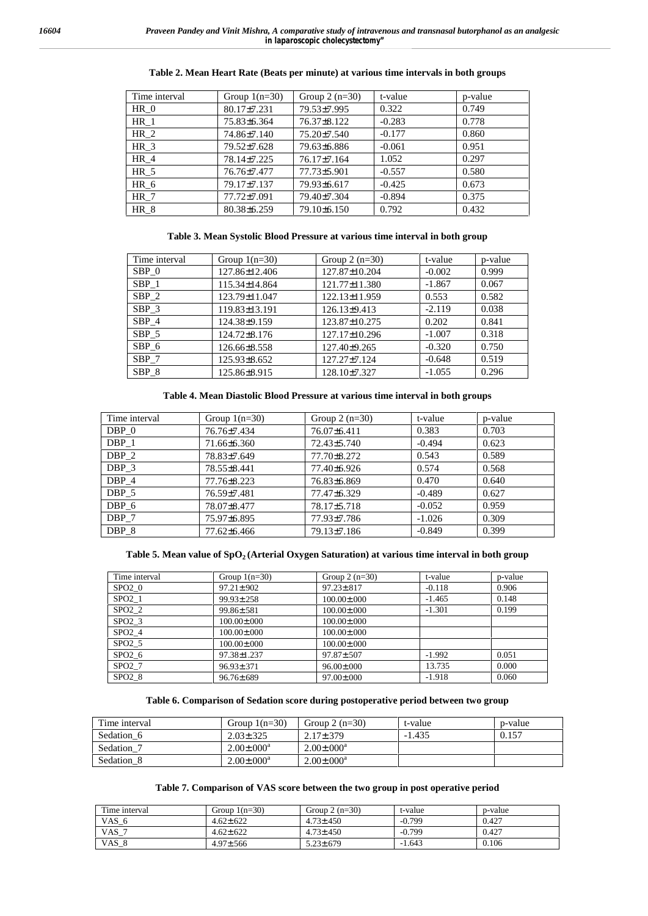| Time interval   | Group $1(n=30)$ | Group $2(n=30)$ | t-value  | p-value |
|-----------------|-----------------|-----------------|----------|---------|
| $HR_0$          | $80.17\{7.231$  | 79.53 7.995     | 0.322    | 0.749   |
| $HR_1$          | 75.83 6.364     | 76.37 8.122     | $-0.283$ | 0.778   |
| HR <sub>2</sub> | 74.86 7.140     | 75.20 7.540     | $-0.177$ | 0.860   |
| HR <sub>3</sub> | 79.52 7.628     | 79.63 6.886     | $-0.061$ | 0.951   |
| HR 4            | 78.14 7.225     | 76.17 7.164     | 1.052    | 0.297   |
| $HR_5$          | 76.76 7.477     | 77.73 5.901     | $-0.557$ | 0.580   |
| HR <sub>6</sub> | 79.17 7.137     | 79.93 6.617     | $-0.425$ | 0.673   |
| <b>HR</b> 7     | 77.72 7.091     | 79.40 7.304     | $-0.894$ | 0.375   |
| HR 8            | $80.38\,6.259$  | 79.10 6.150     | 0.792    | 0.432   |

#### **Table 2. Mean Heart Rate (Beats per minute) at various time intervals in both groups**

#### **Table 3. Mean Systolic Blood Pressure at various time interval in both group**

| Time interval | Group $1(n=30)$ | Group $2(n=30)$ | t-value  | p-value |
|---------------|-----------------|-----------------|----------|---------|
| SBP 0         | 127.86 12.406   | 127.87 10.204   | $-0.002$ | 0.999   |
| SBP 1         | 115.34 14.864   | 121.77 11.380   | $-1.867$ | 0.067   |
| SBP 2         | 123.79 11.047   | 122.13 11.959   | 0.553    | 0.582   |
| SBP 3         | 119.83 13.191   | 126.13 9.413    | $-2.119$ | 0.038   |
| SBP 4         | 124.38 9.159    | 123.87 10.275   | 0.202    | 0.841   |
| SBP 5         | 124.72 8.176    | 127.17 10.296   | $-1.007$ | 0.318   |
| SBP 6         | 126.66 8.558    | 127.40 9.265    | $-0.320$ | 0.750   |
| SBP 7         | 125.93 8.652    | 127.27 7.124    | $-0.648$ | 0.519   |
| SBP 8         | 125.86 8.915    | 128.10 7.327    | $-1.055$ | 0.296   |

#### **Table 4. Mean Diastolic Blood Pressure at various time interval in both groups**

| Time interval | Group $1(n=30)$ | Group $2(n=30)$ | t-value  | p-value |
|---------------|-----------------|-----------------|----------|---------|
| DBP 0         | 76.76 7.434     | 76.07 6.411     | 0.383    | 0.703   |
| DBP 1         | 71.66 6.360     | 72.43 5.740     | $-0.494$ | 0.623   |
| DBP 2         | 78.83 7.649     | 77.70 8.272     | 0.543    | 0.589   |
| DBP 3         | 78.55 8.441     | 77.40 6.926     | 0.574    | 0.568   |
| DBP 4         | 77.76 8.223     | 76.83 6.869     | 0.470    | 0.640   |
| DBP 5         | 76.59 7.481     | 77.47 6.329     | $-0.489$ | 0.627   |
| DBP 6         | 78.07 8.477     | 78.17 5.718     | $-0.052$ | 0.959   |
| DBP 7         | 75.97 6.895     | 77.93 7.786     | $-1.026$ | 0.309   |
| DBP 8         | 77.62 6.466     | 79.1317.186     | $-0.849$ | 0.399   |

### **Table 5. Mean value of SpO<sup>2</sup> (Arterial Oxygen Saturation) at various time interval in both group**

| Time interval     | Group $1(n=30)$ | Group $2(n=30)$ | t-value  | p-value |
|-------------------|-----------------|-----------------|----------|---------|
| SPO20             | 97.211.902      | 97.231.817      | $-0.118$ | 0.906   |
| $SPO2_1$          | 99.93 258       | 100.00 000      | $-1.465$ | 0.148   |
| SPO2 <sub>2</sub> | 99.863.581      | 100.00 000      | $-1.301$ | 0.199   |
| SPO2 <sub>3</sub> | 100.00 000      | 100.00 000      |          |         |
| SPO24             | 100.00 000      | 100.00 000      |          |         |
| SPO2 5            | 100.00 000      | 100.00 000      |          |         |
| SPO2 <sub>6</sub> | 97.38 1.237     | 97.87 507       | $-1.992$ | 0.051   |
| SPO2 7            | 96.933.371      | 96.00 \ .000    | 13.735   | 0.000   |
| SPO28             | 96.76 689       | 97.00 \ .000    | $-1.918$ | 0.060   |

#### **Table 6. Comparison of Sedation score during postoperative period between two group**

| Time interval | Group $1(n=30)$                     | Group $2(n=30)$                     | t-value  | p-value |
|---------------|-------------------------------------|-------------------------------------|----------|---------|
| Sedation 6    | 2.031.325                           | 2.173.379                           | $-1.435$ | 0.157   |
| Sedation 7    | $2.00\frac{1}{2}$ .000 <sup>a</sup> | $2.00\frac{1}{2}$ .000 <sup>a</sup> |          |         |
| Sedation 8    | $2.00\frac{1}{2}$ .000 <sup>a</sup> | $2.00\frac{1}{3}$ .000 <sup>a</sup> |          |         |

#### **Table 7. Comparison of VAS score between the two group in post operative period**

| Time interval | Group $1(n=30)$ | Group 2 $(n=30)$ | t-value  | p-value |
|---------------|-----------------|------------------|----------|---------|
| VAS 6         | 4.621.622       | 4.731.450        | $-0.799$ | 0.427   |
| VAS 7         | 4.621.622       | 4.731.450        | $-0.799$ | 0.427   |
| VAS 8         | 4.97 566        | 5.231.679        | $-1.643$ | 0.106   |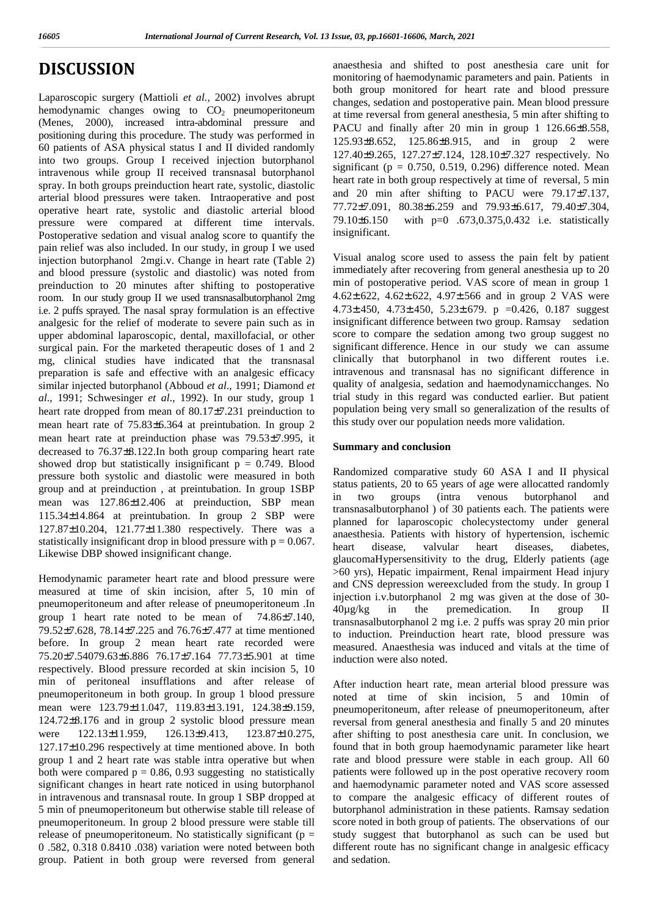# **DISCUSSION**

Laparoscopic surgery (Mattioli *et al.,* 2002) involves abrupt hemodynamic changes owing to  $CO<sub>2</sub>$  pneumoperitoneum (Menes, 2000), increased intra-abdominal pressure and positioning during this procedure. The study was performed in 60 patients of ASA physical status I and II divided randomly into two groups. Group I received injection butorphanol intravenous while group II received transnasal butorphanol spray. In both groups preinduction heart rate, systolic, diastolic arterial blood pressures were taken. Intraoperative and post operative heart rate, systolic and diastolic arterial blood  $\frac{77.72377.091}{72.091}$ , pressure were compared at different time intervals. Postoperative sedation and visual analog score to quantify the pain relief was also included. In our study, in group I we used injection butorphanol 2mgi.v. Change in heart rate (Table 2) and blood pressure (systolic and diastolic) was noted from preinduction to 20 minutes after shifting to postoperative room. In our study group II we used transnasalbutorphanol 2mg i.e. 2 puffs sprayed. The nasal spray formulation is an effective analgesic for the relief of moderate to severe pain such as in upper abdominal laparoscopic, dental, maxillofacial, or other surgical pain. For the marketed therapeutic doses of 1 and 2 mg, clinical studies have indicated that the transnasal preparation is safe and effective with an analgesic efficacy similar injected butorphanol (Abboud *et al*., 1991; Diamond *et al*., 1991; Schwesinger *et al*., 1992). In our study, group 1 heart rate dropped from mean of  $80.17\frac{1}{2}7.231$  preinduction to mean heart rate of  $75.83\frac{1}{6}$  6.364 at preintubation. In group 2 mean heart rate at preinduction phase was  $79.53\overline{7}$ .995, it decreased to  $76.37\frac{1}{8.122}$ . In both group comparing heart rate showed drop but statistically insignificant  $p = 0.749$ . Blood pressure both systolic and diastolic were measured in both group and at preinduction, at preintubation. In group  $1$ SBP status pati mean was  $127.86\frac{12.406}{12.406}$  at preinduction, SBP mean 115.34 $\{14.864$  at preintubation. In group 2 SBP were  $127.87\frac{1}{10.204}$ ,  $121.77\frac{11.380}$  respectively. There was a statistically insignificant drop in blood pressure with  $p = 0.067$ . heart Likewise DBP showed insignificant change.

Hemodynamic parameter heart rate and blood pressure were measured at time of skin incision, after 5, 10 min of pneumoperitoneum and after release of pneumoperitoneum .In  $40\mu\text{g/kg}$ group 1 heart rate noted to be mean of  $74.86\frac{1}{7}$ , 140, 79.52 $\{7.628, 78.14\}$  7.225 and 76.76 $\{7.477$  at time mentioned before. In group 2 mean heart rate recorded were 75.20 7.54079.63 6.886 76.17  $\frac{1}{3}$  7.164 77.73 5.901 at time respectively. Blood pressure recorded at skin incision 5, 10 min of peritoneal insufflations and after release of pneumoperitoneum in both group. In group 1 blood pressure mean were 123.79 11.047, 119.83 13.191, 124.38 9.159,  $124.72\frac{8.176}{8.176}$  and in group 2 systolic blood pressure mean were  $122.13\frac{11.959}{126.13\frac{1}{9.413}$ ,  $123.87\frac{1}{10.275}$  $127.17\frac{10.296}{10.296}$  respectively at time mentioned above. In both group 1 and 2 heart rate was stable intra operative but when both were compared  $p = 0.86, 0.93$  suggesting no statistically significant changes in heart rate noticed in using butorphanol in intravenous and transnasal route. In group 1 SBP dropped at 5 min of pneumoperitoneum but otherwise stable till release of pneumoperitoneum. In group 2 blood pressure were stable till release of pneumoperitoneum. No statistically significant ( $p =$ 0 .582, 0.318 0.8410 .038) variation were noted between both group. Patient in both group were reversed from general

anaesthesia and shifted to post anesthesia care unit for monitoring of haemodynamic parameters and pain. Patients in both group monitored for heart rate and blood pressure changes, sedation and postoperative pain. Mean blood pressure at time reversal from general anesthesia, 5 min after shifting to PACU and finally after 20 min in group 1  $126.66\frac{8.558}{8.558}$ ,  $125.93\{8.652, 125.86\}8.915$ , and in group 2 were 127.40 9.265, 127.27  $\{7.124, 128.10\}$  7.327 respectively. No significant ( $p = 0.750, 0.519, 0.296$ ) difference noted. Mean heart rate in both group respectively at time of reversal, 5 min and 20 min after shifting to PACU were  $79.17\frac{1}{37}$ ,  $77.72\{7.091, 80.38\}$  6.259 and  $79.93\{6.617, 79.40\}$  7.304, with  $p=0$  .673,0.375,0.432 i.e. statistically insignificant.

Visual analog score used to assess the pain felt by patient immediately after recovering from general anesthesia up to 20 min of postoperative period. VAS score of mean in group 1 4.62, 4.62, 4.62, 4.62, 4.97, 4.66 and in group 2 VAS were  $4.73\{450, 4.73\}$ .450, 5.23, 679, p =0.426, 0.187 suggest insignificant difference between two group. Ramsay sedation score to compare the sedation among two group suggest no significant difference. Hence in our study we can assume clinically that butorphanol in two different routes i.e. intravenous and transnasal has no significant difference in quality of analgesia, sedation and haemodynamicchanges. No trial study in this regard was conducted earlier. But patient population being very small so generalization of the results of this study over our population needs more validation.

### **Summary and conclusion**

Randomized comparative study 60 ASA I and II physical status patients, 20 to 65 years of age were allocatted randomly in two groups (intra venous butorphanol and transnasalbutorphanol ) of 30 patients each. The patients were planned for laparoscopic cholecystectomy under general anaesthesia. Patients with history of hypertension, ischemic disease, valvular heart diseases, diabetes, glaucomaHypersensitivity to the drug, Elderly patients (age >60 yrs), Hepatic impairment, Renal impairment Head injury and CNS depression wereexcluded from the study. In group I injection i.v.butorphanol 2 mg was given at the dose of 30 in the premedication. In group II transnasalbutorphanol 2 mg i.e. 2 puffs was spray 20 min prior to induction. Preinduction heart rate, blood pressure was measured. Anaesthesia was induced and vitals at the time of induction were also noted.

After induction heart rate, mean arterial blood pressure was noted at time of skin incision, 5 and 10min of pneumoperitoneum, after release of pneumoperitoneum, after reversal from general anesthesia and finally 5 and 20 minutes after shifting to post anesthesia care unit. In conclusion, we found that in both group haemodynamic parameter like heart rate and blood pressure were stable in each group. All 60 patients were followed up in the post operative recovery room and haemodynamic parameter noted and VAS score assessed to compare the analgesic efficacy of different routes of butorphanol administration in these patients. Ramsay sedation score noted in both group of patients. The observations of our study suggest that butorphanol as such can be used but different route has no significant change in analgesic efficacy and sedation.